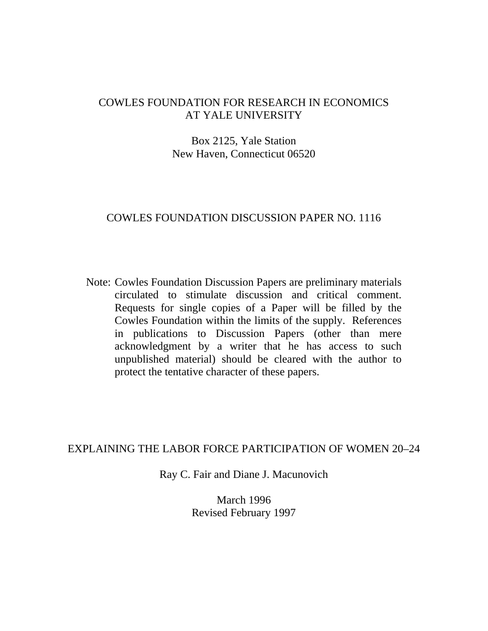# COWLES FOUNDATION FOR RESEARCH IN ECONOMICS AT YALE UNIVERSITY

# Box 2125, Yale Station New Haven, Connecticut 06520

# COWLES FOUNDATION DISCUSSION PAPER NO. 1116

Note: Cowles Foundation Discussion Papers are preliminary materials circulated to stimulate discussion and critical comment. Requests for single copies of a Paper will be filled by the Cowles Foundation within the limits of the supply. References in publications to Discussion Papers (other than mere acknowledgment by a writer that he has access to such unpublished material) should be cleared with the author to protect the tentative character of these papers.

# EXPLAINING THE LABOR FORCE PARTICIPATION OF WOMEN 20–24

Ray C. Fair and Diane J. Macunovich

March 1996 Revised February 1997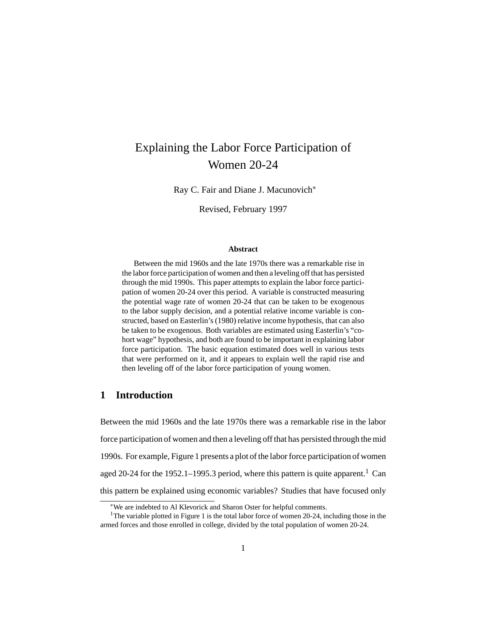# Explaining the Labor Force Participation of Women 20-24

Ray C. Fair and Diane J. Macunovich∗

Revised, February 1997

#### **Abstract**

Between the mid 1960s and the late 1970s there was a remarkable rise in the labor force participation of women and then a leveling off that has persisted through the mid 1990s. This paper attempts to explain the labor force participation of women 20-24 over this period. A variable is constructed measuring the potential wage rate of women 20-24 that can be taken to be exogenous to the labor supply decision, and a potential relative income variable is constructed, based on Easterlin's (1980) relative income hypothesis, that can also be taken to be exogenous. Both variables are estimated using Easterlin's "cohort wage" hypothesis, and both are found to be important in explaining labor force participation. The basic equation estimated does well in various tests that were performed on it, and it appears to explain well the rapid rise and then leveling off of the labor force participation of young women.

## **1 Introduction**

Between the mid 1960s and the late 1970s there was a remarkable rise in the labor force participation of women and then a leveling off that has persisted through the mid 1990s. For example, Figure 1 presents a plot of the labor force participation of women aged 20-24 for the 1952.1–1995.3 period, where this pattern is quite apparent.<sup>1</sup> Can this pattern be explained using economic variables? Studies that have focused only

<sup>∗</sup>We are indebted to Al Klevorick and Sharon Oster for helpful comments.

<sup>&</sup>lt;sup>1</sup>The variable plotted in Figure 1 is the total labor force of women 20-24, including those in the armed forces and those enrolled in college, divided by the total population of women 20-24.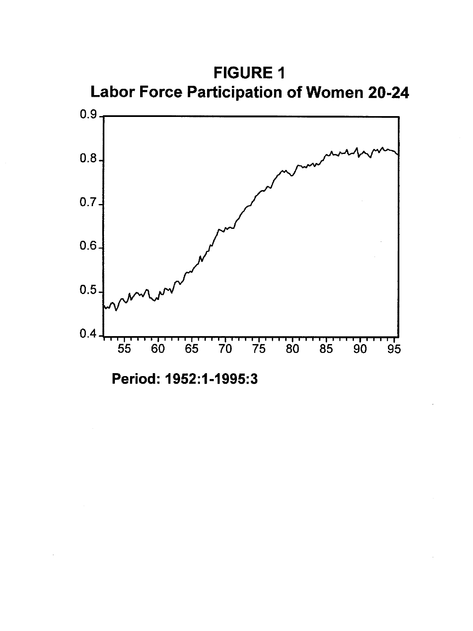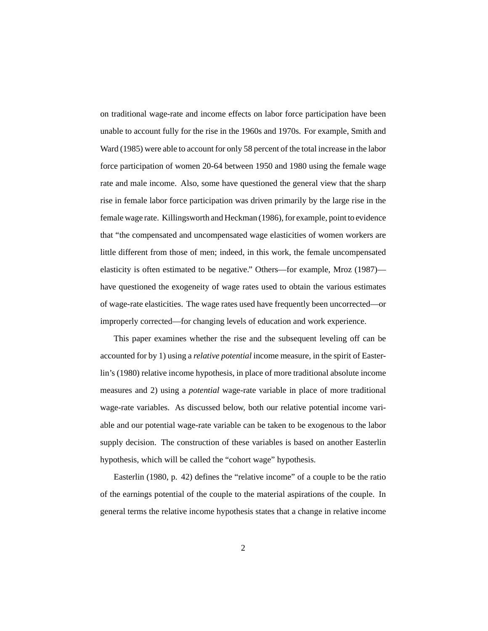on traditional wage-rate and income effects on labor force participation have been unable to account fully for the rise in the 1960s and 1970s. For example, Smith and Ward (1985) were able to account for only 58 percent of the total increase in the labor force participation of women 20-64 between 1950 and 1980 using the female wage rate and male income. Also, some have questioned the general view that the sharp rise in female labor force participation was driven primarily by the large rise in the female wage rate. Killingsworth and Heckman (1986), for example, point to evidence that "the compensated and uncompensated wage elasticities of women workers are little different from those of men; indeed, in this work, the female uncompensated elasticity is often estimated to be negative." Others—for example, Mroz (1987) have questioned the exogeneity of wage rates used to obtain the various estimates of wage-rate elasticities. The wage rates used have frequently been uncorrected—or improperly corrected—for changing levels of education and work experience.

This paper examines whether the rise and the subsequent leveling off can be accounted for by 1) using a *relative potential* income measure, in the spirit of Easterlin's (1980) relative income hypothesis, in place of more traditional absolute income measures and 2) using a *potential* wage-rate variable in place of more traditional wage-rate variables. As discussed below, both our relative potential income variable and our potential wage-rate variable can be taken to be exogenous to the labor supply decision. The construction of these variables is based on another Easterlin hypothesis, which will be called the "cohort wage" hypothesis.

Easterlin (1980, p. 42) defines the "relative income" of a couple to be the ratio of the earnings potential of the couple to the material aspirations of the couple. In general terms the relative income hypothesis states that a change in relative income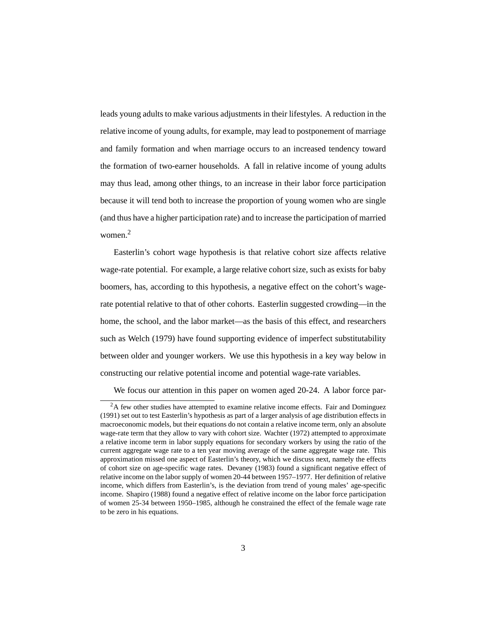leads young adults to make various adjustments in their lifestyles. A reduction in the relative income of young adults, for example, may lead to postponement of marriage and family formation and when marriage occurs to an increased tendency toward the formation of two-earner households. A fall in relative income of young adults may thus lead, among other things, to an increase in their labor force participation because it will tend both to increase the proportion of young women who are single (and thus have a higher participation rate) and to increase the participation of married women.<sup>2</sup>

Easterlin's cohort wage hypothesis is that relative cohort size affects relative wage-rate potential. For example, a large relative cohort size, such as exists for baby boomers, has, according to this hypothesis, a negative effect on the cohort's wagerate potential relative to that of other cohorts. Easterlin suggested crowding—in the home, the school, and the labor market—as the basis of this effect, and researchers such as Welch (1979) have found supporting evidence of imperfect substitutability between older and younger workers. We use this hypothesis in a key way below in constructing our relative potential income and potential wage-rate variables.

We focus our attention in this paper on women aged 20-24. A labor force par-

<sup>&</sup>lt;sup>2</sup>A few other studies have attempted to examine relative income effects. Fair and Dominguez (1991) set out to test Easterlin's hypothesis as part of a larger analysis of age distribution effects in macroeconomic models, but their equations do not contain a relative income term, only an absolute wage-rate term that they allow to vary with cohort size. Wachter (1972) attempted to approximate a relative income term in labor supply equations for secondary workers by using the ratio of the current aggregate wage rate to a ten year moving average of the same aggregate wage rate. This approximation missed one aspect of Easterlin's theory, which we discuss next, namely the effects of cohort size on age-specific wage rates. Devaney (1983) found a significant negative effect of relative income on the labor supply of women 20-44 between 1957–1977. Her definition of relative income, which differs from Easterlin's, is the deviation from trend of young males' age-specific income. Shapiro (1988) found a negative effect of relative income on the labor force participation of women 25-34 between 1950–1985, although he constrained the effect of the female wage rate to be zero in his equations.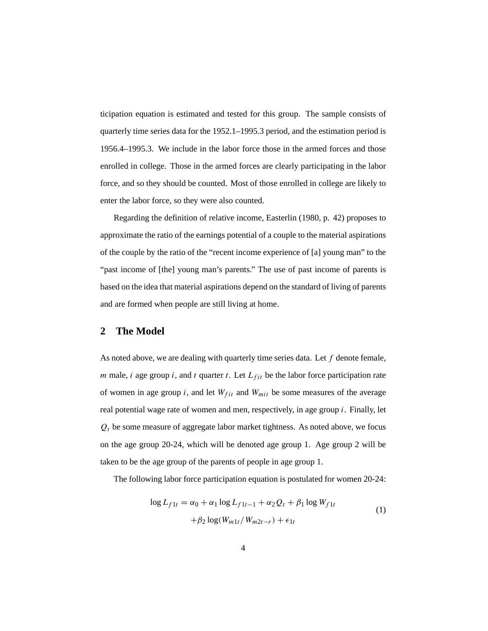ticipation equation is estimated and tested for this group. The sample consists of quarterly time series data for the 1952.1–1995.3 period, and the estimation period is 1956.4–1995.3. We include in the labor force those in the armed forces and those enrolled in college. Those in the armed forces are clearly participating in the labor force, and so they should be counted. Most of those enrolled in college are likely to enter the labor force, so they were also counted.

Regarding the definition of relative income, Easterlin (1980, p. 42) proposes to approximate the ratio of the earnings potential of a couple to the material aspirations of the couple by the ratio of the "recent income experience of [a] young man" to the "past income of [the] young man's parents." The use of past income of parents is based on the idea that material aspirations depend on the standard of living of parents and are formed when people are still living at home.

#### **2 The Model**

As noted above, we are dealing with quarterly time series data. Let *f* denote female, *m* male, *i* age group *i*, and *t* quarter *t*. Let  $L_{fit}$  be the labor force participation rate of women in age group *i*, and let  $W_{fit}$  and  $W_{mit}$  be some measures of the average real potential wage rate of women and men, respectively, in age group *i*. Finally, let  $Q_t$  be some measure of aggregate labor market tightness. As noted above, we focus on the age group 20-24, which will be denoted age group 1. Age group 2 will be taken to be the age group of the parents of people in age group 1.

The following labor force participation equation is postulated for women 20-24:

$$
\log L_{f1t} = \alpha_0 + \alpha_1 \log L_{f1t-1} + \alpha_2 Q_t + \beta_1 \log W_{f1t}
$$
  
+ 
$$
\beta_2 \log(W_{m1t}/W_{m2t-r}) + \epsilon_{1t}
$$
 (1)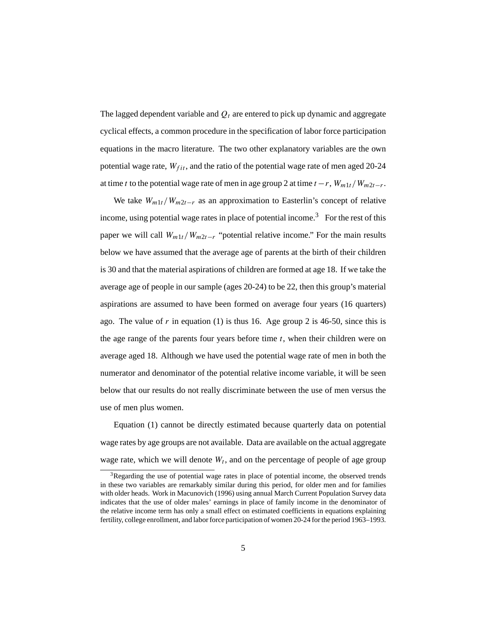The lagged dependent variable and  $Q_t$  are entered to pick up dynamic and aggregate cyclical effects, a common procedure in the specification of labor force participation equations in the macro literature. The two other explanatory variables are the own potential wage rate,  $W_{fit}$ , and the ratio of the potential wage rate of men aged 20-24 at time *t* to the potential wage rate of men in age group 2 at time  $t - r$ ,  $W_{m1t}/W_{m2t-r}$ .

We take  $W_{m1t}/W_{m2t-r}$  as an approximation to Easterlin's concept of relative income, using potential wage rates in place of potential income.<sup>3</sup> For the rest of this paper we will call  $W_{m1t}/W_{m2t-r}$  "potential relative income." For the main results below we have assumed that the average age of parents at the birth of their children is 30 and that the material aspirations of children are formed at age 18. If we take the average age of people in our sample (ages 20-24) to be 22, then this group's material aspirations are assumed to have been formed on average four years (16 quarters) ago. The value of  $r$  in equation (1) is thus 16. Age group 2 is 46-50, since this is the age range of the parents four years before time *t*, when their children were on average aged 18. Although we have used the potential wage rate of men in both the numerator and denominator of the potential relative income variable, it will be seen below that our results do not really discriminate between the use of men versus the use of men plus women.

Equation (1) cannot be directly estimated because quarterly data on potential wage rates by age groups are not available. Data are available on the actual aggregate wage rate, which we will denote  $W_t$ , and on the percentage of people of age group

 $3$ Regarding the use of potential wage rates in place of potential income, the observed trends in these two variables are remarkably similar during this period, for older men and for families with older heads. Work in Macunovich (1996) using annual March Current Population Survey data indicates that the use of older males' earnings in place of family income in the denominator of the relative income term has only a small effect on estimated coefficients in equations explaining fertility, college enrollment, and labor force participation of women 20-24 for the period 1963–1993.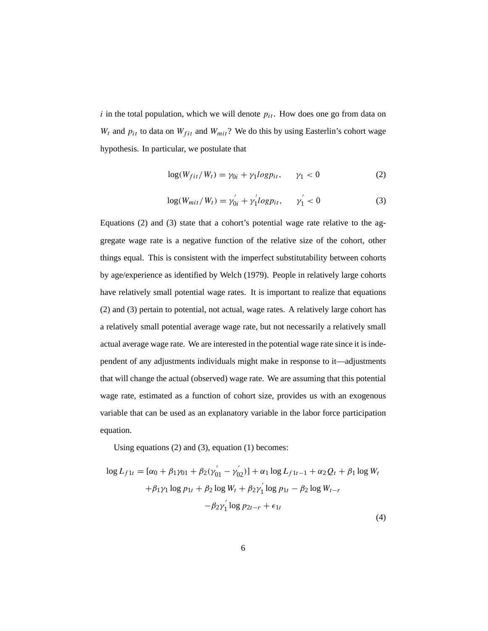*i* in the total population, which we will denote  $p_{it}$ . How does one go from data on  $W_t$  and  $p_{it}$  to data on  $W_{fit}$  and  $W_{mit}$ ? We do this by using Easterlin's cohort wage hypothesis. In particular, we postulate that

$$
\log(W_{fit}/W_t) = \gamma_{0i} + \gamma_1 log p_{it}, \qquad \gamma_1 < 0 \tag{2}
$$

$$
\log(W_{mit}/W_t) = \gamma_{0i}^{'} + \gamma_1^{'} log p_{it}, \qquad \gamma_1^{'} < 0 \tag{3}
$$

Equations (2) and (3) state that a cohort's potential wage rate relative to the aggregate wage rate is a negative function of the relative size of the cohort, other things equal. This is consistent with the imperfect substitutability between cohorts by age/experience as identified by Welch (1979). People in relatively large cohorts have relatively small potential wage rates. It is important to realize that equations (2) and (3) pertain to potential, not actual, wage rates. A relatively large cohort has a relatively small potential average wage rate, but not necessarily a relatively small actual average wage rate. We are interested in the potential wage rate since it is independent of any adjustments individuals might make in response to it—adjustments that will change the actual (observed) wage rate. We are assuming that this potential wage rate, estimated as a function of cohort size, provides us with an exogenous variable that can be used as an explanatory variable in the labor force participation equation.

Using equations (2) and (3), equation (1) becomes:

$$
\log L_{f1t} = [\alpha_0 + \beta_1 \gamma_{01} + \beta_2 (\gamma'_{01} - \gamma'_{02})] + \alpha_1 \log L_{f1t-1} + \alpha_2 Q_t + \beta_1 \log W_t
$$
  
+  $\beta_1 \gamma_1 \log p_{1t} + \beta_2 \log W_t + \beta_2 \gamma'_1 \log p_{1t} - \beta_2 \log W_{t-r}$   
-  $\beta_2 \gamma'_1 \log p_{2t-r} + \epsilon_{1t}$  (4)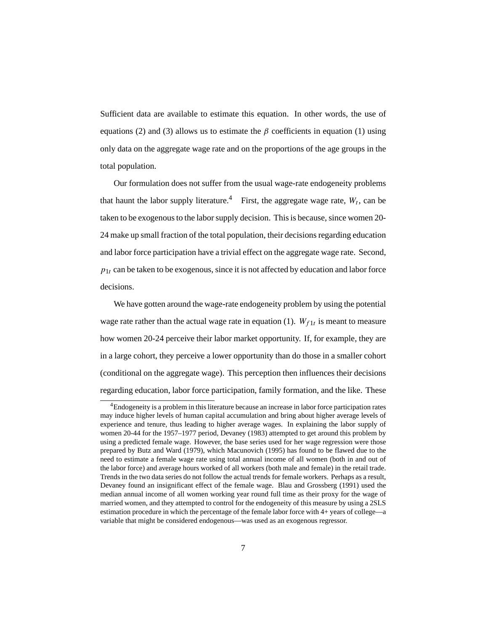Sufficient data are available to estimate this equation. In other words, the use of equations (2) and (3) allows us to estimate the  $\beta$  coefficients in equation (1) using only data on the aggregate wage rate and on the proportions of the age groups in the total population.

Our formulation does not suffer from the usual wage-rate endogeneity problems that haunt the labor supply literature.<sup>4</sup> First, the aggregate wage rate,  $W_t$ , can be taken to be exogenous to the labor supply decision. This is because, since women 20- 24 make up small fraction of the total population, their decisions regarding education and labor force participation have a trivial effect on the aggregate wage rate. Second,  $p_{1t}$  can be taken to be exogenous, since it is not affected by education and labor force decisions.

We have gotten around the wage-rate endogeneity problem by using the potential wage rate rather than the actual wage rate in equation (1).  $W_{f1t}$  is meant to measure how women 20-24 perceive their labor market opportunity. If, for example, they are in a large cohort, they perceive a lower opportunity than do those in a smaller cohort (conditional on the aggregate wage). This perception then influences their decisions regarding education, labor force participation, family formation, and the like. These

<sup>4</sup>Endogeneity is a problem in this literature because an increase in labor force participation rates may induce higher levels of human capital accumulation and bring about higher average levels of experience and tenure, thus leading to higher average wages. In explaining the labor supply of women 20-44 for the 1957–1977 period, Devaney (1983) attempted to get around this problem by using a predicted female wage. However, the base series used for her wage regression were those prepared by Butz and Ward (1979), which Macunovich (1995) has found to be flawed due to the need to estimate a female wage rate using total annual income of all women (both in and out of the labor force) and average hours worked of all workers (both male and female) in the retail trade. Trends in the two data series do not follow the actual trends for female workers. Perhaps as a result, Devaney found an insignificant effect of the female wage. Blau and Grossberg (1991) used the median annual income of all women working year round full time as their proxy for the wage of married women, and they attempted to control for the endogeneity of this measure by using a 2SLS estimation procedure in which the percentage of the female labor force with 4+ years of college—a variable that might be considered endogenous—was used as an exogenous regressor.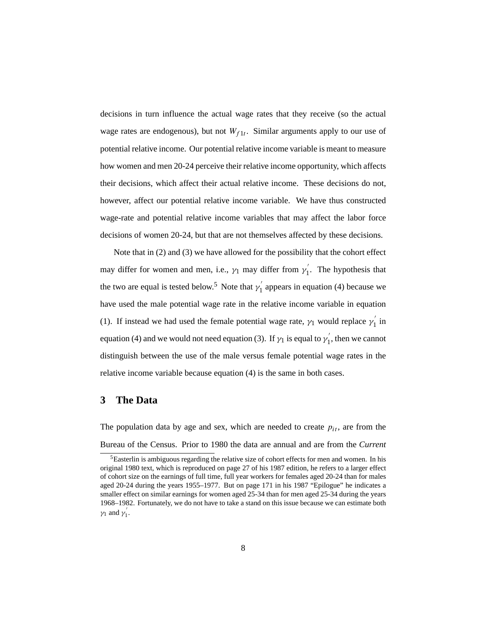decisions in turn influence the actual wage rates that they receive (so the actual wage rates are endogenous), but not  $W_{f1t}$ . Similar arguments apply to our use of potential relative income. Our potential relative income variable is meant to measure how women and men 20-24 perceive their relative income opportunity, which affects their decisions, which affect their actual relative income. These decisions do not, however, affect our potential relative income variable. We have thus constructed wage-rate and potential relative income variables that may affect the labor force decisions of women 20-24, but that are not themselves affected by these decisions.

Note that in (2) and (3) we have allowed for the possibility that the cohort effect may differ for women and men, i.e.,  $\gamma_1$  may differ from  $\gamma_1'$ . The hypothesis that the two are equal is tested below.<sup>5</sup> Note that  $\gamma_1'$  appears in equation (4) because we have used the male potential wage rate in the relative income variable in equation (1). If instead we had used the female potential wage rate,  $\gamma_1$  would replace  $\gamma_1'$  in equation (4) and we would not need equation (3). If  $\gamma_1$  is equal to  $\gamma'_1$ , then we cannot distinguish between the use of the male versus female potential wage rates in the relative income variable because equation (4) is the same in both cases.

## **3 The Data**

The population data by age and sex, which are needed to create  $p_{it}$ , are from the Bureau of the Census. Prior to 1980 the data are annual and are from the *Current*

<sup>&</sup>lt;sup>5</sup>Easterlin is ambiguous regarding the relative size of cohort effects for men and women. In his original 1980 text, which is reproduced on page 27 of his 1987 edition, he refers to a larger effect of cohort size on the earnings of full time, full year workers for females aged 20-24 than for males aged 20-24 during the years 1955–1977. But on page 171 in his 1987 "Epilogue" he indicates a smaller effect on similar earnings for women aged 25-34 than for men aged 25-34 during the years 1968–1982. Fortunately, we do not have to take a stand on this issue because we can estimate both  $\gamma_1$  and  $\gamma'_1$ .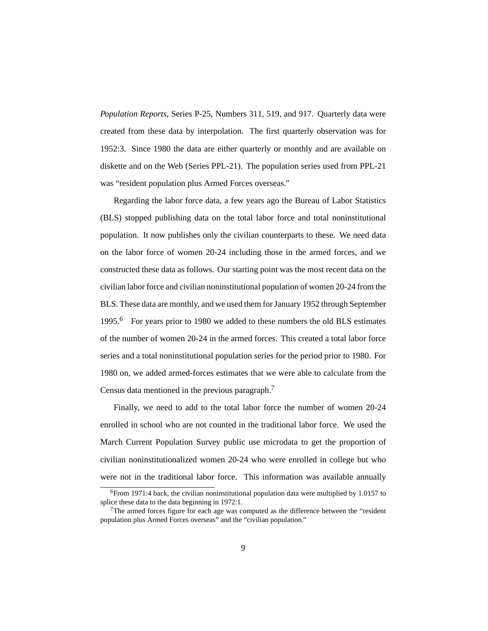*Population Reports*, Series P-25, Numbers 311, 519, and 917. Quarterly data were created from these data by interpolation. The first quarterly observation was for 1952:3. Since 1980 the data are either quarterly or monthly and are available on diskette and on the Web (Series PPL-21). The population series used from PPL-21 was "resident population plus Armed Forces overseas."

Regarding the labor force data, a few years ago the Bureau of Labor Statistics (BLS) stopped publishing data on the total labor force and total noninstitutional population. It now publishes only the civilian counterparts to these. We need data on the labor force of women 20-24 including those in the armed forces, and we constructed these data as follows. Our starting point was the most recent data on the civilian labor force and civilian noninstitutional population of women 20-24 from the BLS. These data are monthly, and we used them for January 1952 through September 1995.<sup>6</sup> For years prior to 1980 we added to these numbers the old BLS estimates of the number of women 20-24 in the armed forces. This created a total labor force series and a total noninstitutional population series for the period prior to 1980. For 1980 on, we added armed-forces estimates that we were able to calculate from the Census data mentioned in the previous paragraph.7

Finally, we need to add to the total labor force the number of women 20-24 enrolled in school who are not counted in the traditional labor force. We used the March Current Population Survey public use microdata to get the proportion of civilian noninstitutionalized women 20-24 who were enrolled in college but who were not in the traditional labor force. This information was available annually

 $6$ From 1971:4 back, the civilian noninstitutional population data were multiplied by 1.0157 to splice these data to the data beginning in 1972:1.

<sup>7</sup>The armed forces figure for each age was computed as the difference between the "resident population plus Armed Forces overseas" and the "civilian population."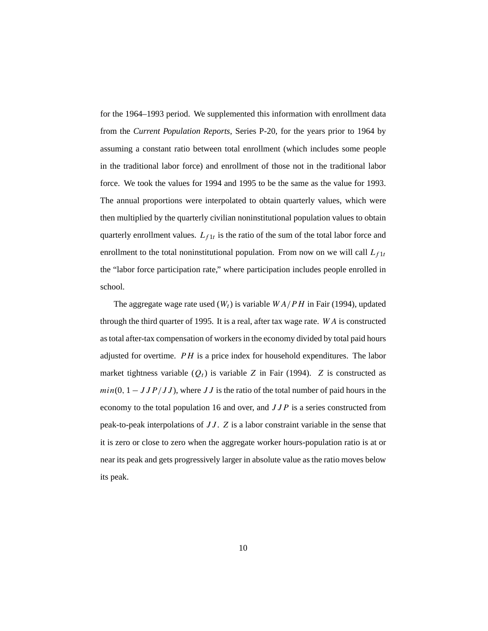for the 1964–1993 period. We supplemented this information with enrollment data from the *Current Population Reports*, Series P-20, for the years prior to 1964 by assuming a constant ratio between total enrollment (which includes some people in the traditional labor force) and enrollment of those not in the traditional labor force. We took the values for 1994 and 1995 to be the same as the value for 1993. The annual proportions were interpolated to obtain quarterly values, which were then multiplied by the quarterly civilian noninstitutional population values to obtain quarterly enrollment values.  $L_{f1t}$  is the ratio of the sum of the total labor force and enrollment to the total noninstitutional population. From now on we will call  $L_{f1t}$ the "labor force participation rate," where participation includes people enrolled in school.

The aggregate wage rate used  $(W_t)$  is variable  $WA/PH$  in Fair (1994), updated through the third quarter of 1995. It is a real, after tax wage rate. *WA* is constructed as total after-tax compensation of workers in the economy divided by total paid hours adjusted for overtime. *PH* is a price index for household expenditures. The labor market tightness variable  $(Q_t)$  is variable *Z* in Fair (1994). *Z* is constructed as  $min(0, 1 - JJP/JJ)$ , where *JJ* is the ratio of the total number of paid hours in the economy to the total population 16 and over, and *JJP* is a series constructed from peak-to-peak interpolations of *JJ* . *Z* is a labor constraint variable in the sense that it is zero or close to zero when the aggregate worker hours-population ratio is at or near its peak and gets progressively larger in absolute value as the ratio moves below its peak.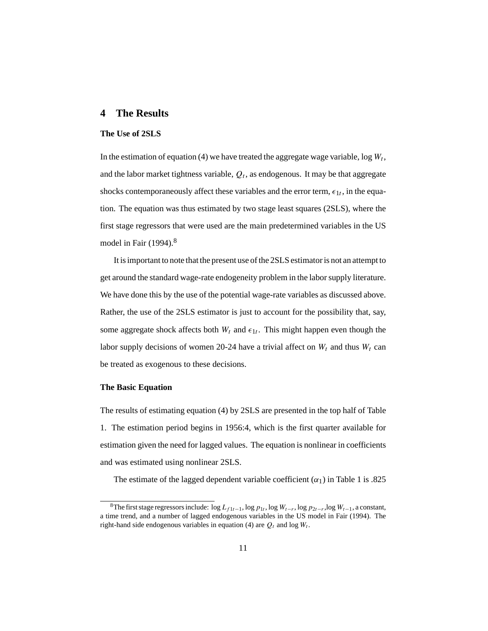### **4 The Results**

#### **The Use of 2SLS**

In the estimation of equation (4) we have treated the aggregate wage variable,  $\log W_t$ , and the labor market tightness variable,  $Q_t$ , as endogenous. It may be that aggregate shocks contemporaneously affect these variables and the error term,  $\epsilon_{1t}$ , in the equation. The equation was thus estimated by two stage least squares (2SLS), where the first stage regressors that were used are the main predetermined variables in the US model in Fair (1994).<sup>8</sup>

It is important to note that the present use of the 2SLS estimator is not an attempt to get around the standard wage-rate endogeneity problem in the labor supply literature. We have done this by the use of the potential wage-rate variables as discussed above. Rather, the use of the 2SLS estimator is just to account for the possibility that, say, some aggregate shock affects both  $W_t$  and  $\epsilon_{1t}$ . This might happen even though the labor supply decisions of women 20-24 have a trivial affect on  $W_t$  and thus  $W_t$  can be treated as exogenous to these decisions.

#### **The Basic Equation**

The results of estimating equation (4) by 2SLS are presented in the top half of Table 1. The estimation period begins in 1956:4, which is the first quarter available for estimation given the need for lagged values. The equation is nonlinear in coefficients and was estimated using nonlinear 2SLS.

The estimate of the lagged dependent variable coefficient  $(\alpha_1)$  in Table 1 is .825

<sup>&</sup>lt;sup>8</sup>The first stage regressors include:  $\log L_{f1t-1}$ ,  $\log p_{1t}$ ,  $\log W_{t-r}$ ,  $\log p_{2t-r}$ ,  $\log W_{t-1}$ , a constant, a time trend, and a number of lagged endogenous variables in the US model in Fair (1994). The right-hand side endogenous variables in equation (4) are  $Q_t$  and log  $W_t$ .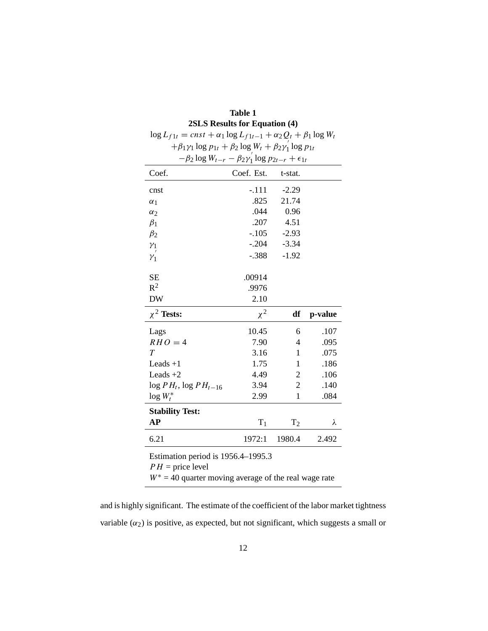| $\log L_{f1t} = const + \alpha_1 \log L_{f1t-1} + \alpha_2 Q_t + \beta_1 \log W_t$ |            |                  |         |  |  |  |  |  |
|------------------------------------------------------------------------------------|------------|------------------|---------|--|--|--|--|--|
| $+\beta_1\gamma_1\log p_{1t} + \beta_2\log W_t + \beta_2\gamma_1\log p_{1t}$       |            |                  |         |  |  |  |  |  |
| $-\beta_2 \log W_{t-r} - \beta_2 \gamma_1' \log p_{2t-r} + \epsilon_{1t}$          |            |                  |         |  |  |  |  |  |
| Coef.                                                                              | Coef. Est. | t-stat.          |         |  |  |  |  |  |
| cnst                                                                               | $-.111$    | $-2.29$          |         |  |  |  |  |  |
| $\alpha_1$                                                                         | .825       | 21.74            |         |  |  |  |  |  |
| $\alpha_2$                                                                         | .044       | 0.96             |         |  |  |  |  |  |
| $\beta_1$                                                                          | .207       | 4.51             |         |  |  |  |  |  |
| $\beta_2$                                                                          | $-.105$    | $-2.93$          |         |  |  |  |  |  |
| $\gamma_1$                                                                         | $-.204$    | $-3.34$          |         |  |  |  |  |  |
| $\mathcal{V}_1$                                                                    | $-.388$    | $-1.92$          |         |  |  |  |  |  |
| <b>SE</b>                                                                          | .00914     |                  |         |  |  |  |  |  |
| $R^2$                                                                              | .9976      |                  |         |  |  |  |  |  |
| <b>DW</b>                                                                          | 2.10       |                  |         |  |  |  |  |  |
| $\chi^2$ Tests:                                                                    | $\chi^2$   | df               | p-value |  |  |  |  |  |
| Lags                                                                               | 10.45      | 6                | .107    |  |  |  |  |  |
| $RHO=4$                                                                            | 7.90       | 4                | .095    |  |  |  |  |  |
| T                                                                                  | 3.16       | 1                | .075    |  |  |  |  |  |
| Leads $+1$                                                                         | 1.75       | 1                | .186    |  |  |  |  |  |
| Leads $+2$                                                                         | 4.49       | $\boldsymbol{2}$ | .106    |  |  |  |  |  |
| $\log PH_t$ , $\log PH_{t-16}$                                                     | 3.94       | $\overline{2}$   | .140    |  |  |  |  |  |
| $\log W_t^*$                                                                       | 2.99       | 1                | .084    |  |  |  |  |  |
| <b>Stability Test:</b>                                                             |            |                  |         |  |  |  |  |  |
| AP                                                                                 | $T_1$      | T <sub>2</sub>   | λ       |  |  |  |  |  |
| 6.21                                                                               | 1972:1     | 1980.4           | 2.492   |  |  |  |  |  |
| Estimation period is 1956.4-1995.3<br>$PH =$ price level                           |            |                  |         |  |  |  |  |  |

**Table 1 2SLS Results for Equation (4)**

|                                                                                                                 | $I \cap I = \text{price level}$ |  |  |
|-----------------------------------------------------------------------------------------------------------------|---------------------------------|--|--|
| and the state of the state of the state of the state of the state of the state of the state of the state of the |                                 |  |  |

 $W^* = 40$  quarter moving average of the real wage rate

and is highly significant. The estimate of the coefficient of the labor market tightness variable  $(\alpha_2)$  is positive, as expected, but not significant, which suggests a small or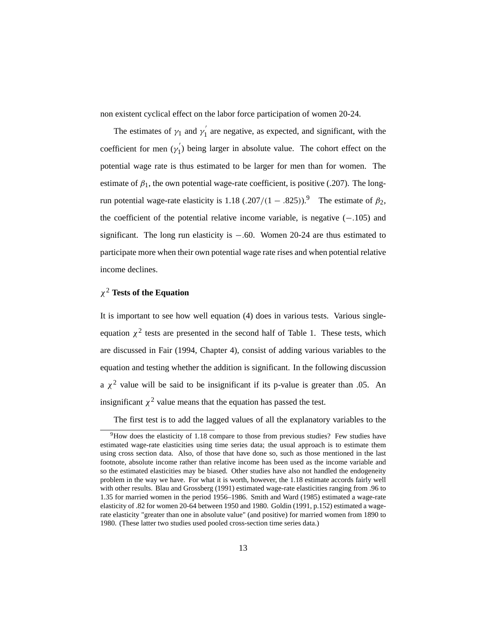non existent cyclical effect on the labor force participation of women 20-24.

The estimates of  $\gamma_1$  and  $\gamma_1'$  are negative, as expected, and significant, with the coefficient for men  $(\gamma_1)$  being larger in absolute value. The cohort effect on the potential wage rate is thus estimated to be larger for men than for women. The estimate of  $\beta_1$ , the own potential wage-rate coefficient, is positive (.207). The longrun potential wage-rate elasticity is 1.18 ( $.207/(1-.825)$ ).<sup>9</sup> The estimate of  $β_2$ , the coefficient of the potential relative income variable, is negative (−*.*105) and significant. The long run elasticity is −*.*60. Women 20-24 are thus estimated to participate more when their own potential wage rate rises and when potential relative income declines.

## *χ*<sup>2</sup> **Tests of the Equation**

It is important to see how well equation (4) does in various tests. Various singleequation  $\chi^2$  tests are presented in the second half of Table 1. These tests, which are discussed in Fair (1994, Chapter 4), consist of adding various variables to the equation and testing whether the addition is significant. In the following discussion a  $\chi^2$  value will be said to be insignificant if its p-value is greater than .05. An insignificant  $\chi^2$  value means that the equation has passed the test.

The first test is to add the lagged values of all the explanatory variables to the

 $9$ How does the elasticity of 1.18 compare to those from previous studies? Few studies have estimated wage-rate elasticities using time series data; the usual approach is to estimate them using cross section data. Also, of those that have done so, such as those mentioned in the last footnote, absolute income rather than relative income has been used as the income variable and so the estimated elasticities may be biased. Other studies have also not handled the endogeneity problem in the way we have. For what it is worth, however, the 1.18 estimate accords fairly well with other results. Blau and Grossberg (1991) estimated wage-rate elasticities ranging from .96 to 1.35 for married women in the period 1956–1986. Smith and Ward (1985) estimated a wage-rate elasticity of .82 for women 20-64 between 1950 and 1980. Goldin (1991, p.152) estimated a wagerate elasticity "greater than one in absolute value" (and positive) for married women from 1890 to 1980. (These latter two studies used pooled cross-section time series data.)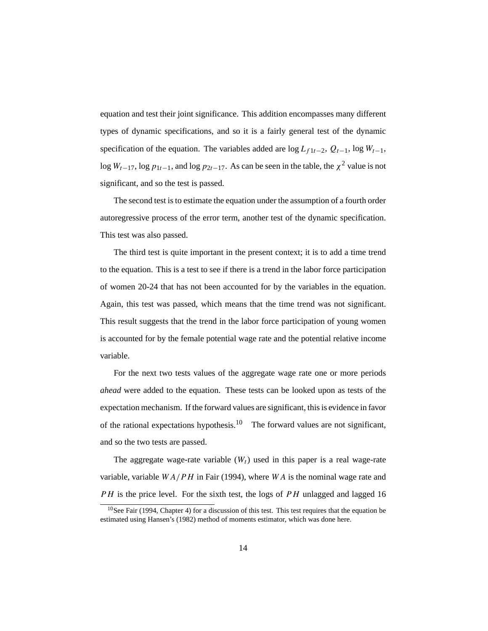equation and test their joint significance. This addition encompasses many different types of dynamic specifications, and so it is a fairly general test of the dynamic specification of the equation. The variables added are  $\log L_{f_1}$  + -2,  $Q_{t-1}$ ,  $\log W_{t-1}$ , log  $W_{t-17}$ , log  $p_{1t-1}$ , and log  $p_{2t-17}$ . As can be seen in the table, the  $\chi^2$  value is not significant, and so the test is passed.

The second test is to estimate the equation under the assumption of a fourth order autoregressive process of the error term, another test of the dynamic specification. This test was also passed.

The third test is quite important in the present context; it is to add a time trend to the equation. This is a test to see if there is a trend in the labor force participation of women 20-24 that has not been accounted for by the variables in the equation. Again, this test was passed, which means that the time trend was not significant. This result suggests that the trend in the labor force participation of young women is accounted for by the female potential wage rate and the potential relative income variable.

For the next two tests values of the aggregate wage rate one or more periods *ahead* were added to the equation. These tests can be looked upon as tests of the expectation mechanism. If the forward values are significant, this is evidence in favor of the rational expectations hypothesis.<sup>10</sup> The forward values are not significant, and so the two tests are passed.

The aggregate wage-rate variable  $(W_t)$  used in this paper is a real wage-rate variable, variable *WA/PH* in Fair (1994), where *WA* is the nominal wage rate and *PH* is the price level. For the sixth test, the logs of *PH* unlagged and lagged 16

 $10$ See Fair (1994, Chapter 4) for a discussion of this test. This test requires that the equation be estimated using Hansen's (1982) method of moments estimator, which was done here.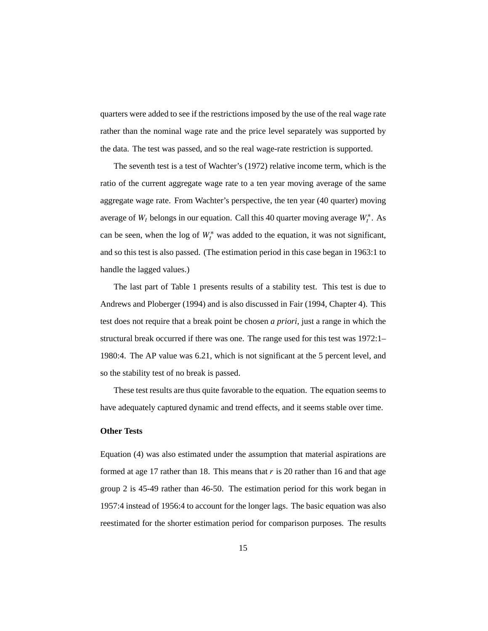quarters were added to see if the restrictions imposed by the use of the real wage rate rather than the nominal wage rate and the price level separately was supported by the data. The test was passed, and so the real wage-rate restriction is supported.

The seventh test is a test of Wachter's (1972) relative income term, which is the ratio of the current aggregate wage rate to a ten year moving average of the same aggregate wage rate. From Wachter's perspective, the ten year (40 quarter) moving average of *Wt* belongs in our equation. Call this 40 quarter moving average *W*∗ *<sup>t</sup>* . As can be seen, when the log of  $W_t^*$  was added to the equation, it was not significant, and so this test is also passed. (The estimation period in this case began in 1963:1 to handle the lagged values.)

The last part of Table 1 presents results of a stability test. This test is due to Andrews and Ploberger (1994) and is also discussed in Fair (1994, Chapter 4). This test does not require that a break point be chosen *a priori*, just a range in which the structural break occurred if there was one. The range used for this test was 1972:1– 1980:4. The AP value was 6.21, which is not significant at the 5 percent level, and so the stability test of no break is passed.

These test results are thus quite favorable to the equation. The equation seems to have adequately captured dynamic and trend effects, and it seems stable over time.

#### **Other Tests**

Equation (4) was also estimated under the assumption that material aspirations are formed at age 17 rather than 18. This means that *r* is 20 rather than 16 and that age group 2 is 45-49 rather than 46-50. The estimation period for this work began in 1957:4 instead of 1956:4 to account for the longer lags. The basic equation was also reestimated for the shorter estimation period for comparison purposes. The results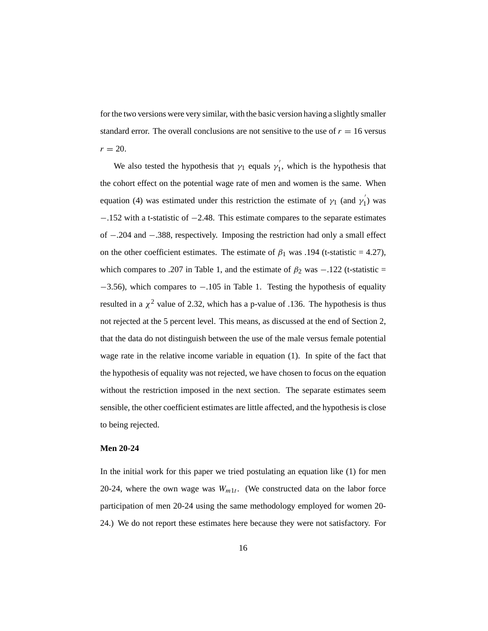for the two versions were very similar, with the basic version having a slightly smaller standard error. The overall conclusions are not sensitive to the use of  $r = 16$  versus  $r = 20$ .

We also tested the hypothesis that  $\gamma_1$  equals  $\gamma'_1$ , which is the hypothesis that the cohort effect on the potential wage rate of men and women is the same. When equation (4) was estimated under this restriction the estimate of  $\gamma_1$  (and  $\gamma_1'$ ) was −.152 with a t-statistic of −2.48. This estimate compares to the separate estimates of −.204 and −.388, respectively. Imposing the restriction had only a small effect on the other coefficient estimates. The estimate of  $\beta_1$  was .194 (t-statistic = 4.27), which compares to .207 in Table 1, and the estimate of  $\beta_2$  was  $-.122$  (t-statistic = −3.56), which compares to −.105 in Table 1. Testing the hypothesis of equality resulted in a  $\chi^2$  value of 2.32, which has a p-value of .136. The hypothesis is thus not rejected at the 5 percent level. This means, as discussed at the end of Section 2, that the data do not distinguish between the use of the male versus female potential wage rate in the relative income variable in equation (1). In spite of the fact that the hypothesis of equality was not rejected, we have chosen to focus on the equation without the restriction imposed in the next section. The separate estimates seem sensible, the other coefficient estimates are little affected, and the hypothesis is close to being rejected.

#### **Men 20-24**

In the initial work for this paper we tried postulating an equation like (1) for men 20-24, where the own wage was  $W_{m1t}$ . (We constructed data on the labor force participation of men 20-24 using the same methodology employed for women 20- 24.) We do not report these estimates here because they were not satisfactory. For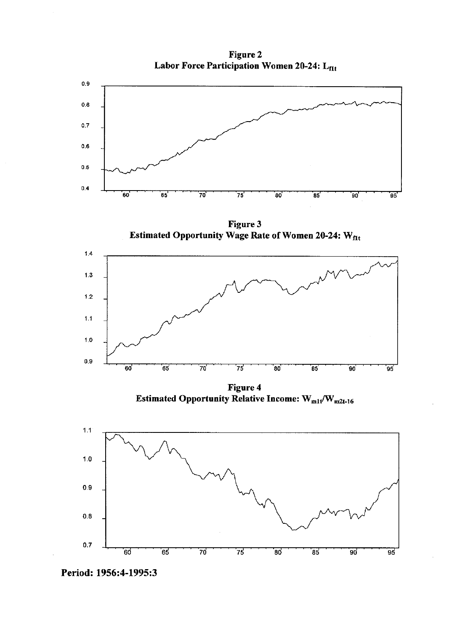**Figure 2** Labor Force Participation Women 20-24: L<sub>flt</sub>





Period: 1956:4-1995:3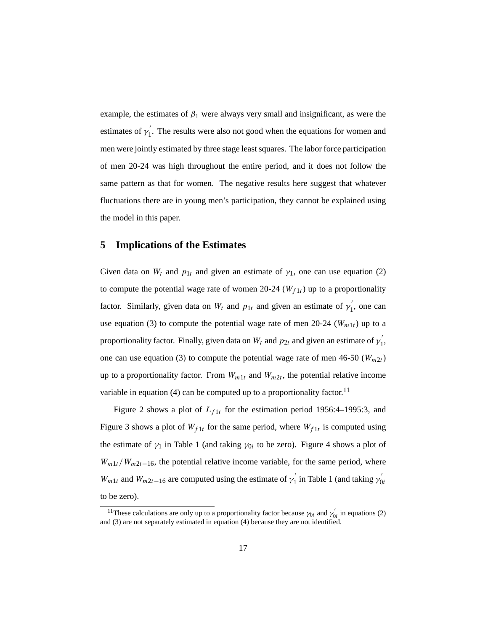example, the estimates of  $\beta_1$  were always very small and insignificant, as were the estimates of  $\gamma_1'$ . The results were also not good when the equations for women and men were jointly estimated by three stage least squares. The labor force participation of men 20-24 was high throughout the entire period, and it does not follow the same pattern as that for women. The negative results here suggest that whatever fluctuations there are in young men's participation, they cannot be explained using the model in this paper.

## **5 Implications of the Estimates**

Given data on  $W_t$  and  $p_{1t}$  and given an estimate of  $\gamma_1$ , one can use equation (2) to compute the potential wage rate of women 20-24 ( $W_{f1t}$ ) up to a proportionality factor. Similarly, given data on  $W_t$  and  $p_{1t}$  and given an estimate of  $\gamma'_1$ , one can use equation (3) to compute the potential wage rate of men  $20-24$  ( $W_{m1t}$ ) up to a proportionality factor. Finally, given data on  $W_t$  and  $p_{2t}$  and given an estimate of  $\gamma'_1$ , one can use equation (3) to compute the potential wage rate of men  $46-50$  ( $W_{m2}$ *t*) up to a proportionality factor. From  $W_{m1t}$  and  $W_{m2t}$ , the potential relative income variable in equation (4) can be computed up to a proportionality factor.<sup>11</sup>

Figure 2 shows a plot of  $L_{f1t}$  for the estimation period 1956:4–1995:3, and Figure 3 shows a plot of  $W_{f1t}$  for the same period, where  $W_{f1t}$  is computed using the estimate of  $\gamma_1$  in Table 1 (and taking  $\gamma_{0i}$  to be zero). Figure 4 shows a plot of  $W_{m1}$ *t*/W<sub>m2t−16</sub>, the potential relative income variable, for the same period, where *W<sub>m1t</sub>* and *W<sub>m2t−16</sub>* are computed using the estimate of  $\gamma_1$  in Table 1 (and taking  $\gamma_{0i}$ ) to be zero).

<sup>&</sup>lt;sup>11</sup>These calculations are only up to a proportionality factor because  $\gamma_{0i}$  and  $\gamma'_{0i}$  in equations (2) and (3) are not separately estimated in equation (4) because they are not identified.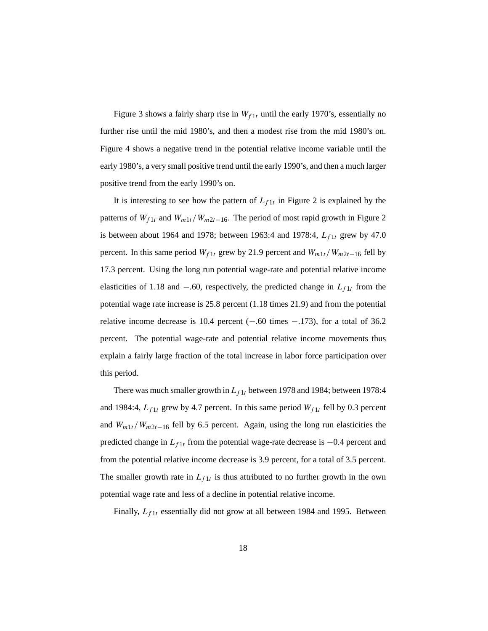Figure 3 shows a fairly sharp rise in  $W_{f1t}$  until the early 1970's, essentially no further rise until the mid 1980's, and then a modest rise from the mid 1980's on. Figure 4 shows a negative trend in the potential relative income variable until the early 1980's, a very small positive trend until the early 1990's, and then a much larger positive trend from the early 1990's on.

It is interesting to see how the pattern of  $L_{f1t}$  in Figure 2 is explained by the patterns of  $W_{f1t}$  and  $W_{m1t}/W_{m2t-16}$ . The period of most rapid growth in Figure 2 is between about 1964 and 1978; between 1963:4 and 1978:4, *Lf* <sup>1</sup>*<sup>t</sup>* grew by 47.0 percent. In this same period  $W_{f1t}$  grew by 21.9 percent and  $W_{m1t}/W_{m2t-16}$  fell by 17.3 percent. Using the long run potential wage-rate and potential relative income elasticities of 1.18 and  $-.60$ , respectively, the predicted change in  $L_{f1t}$  from the potential wage rate increase is 25.8 percent (1.18 times 21.9) and from the potential relative income decrease is 10.4 percent  $(-.60 \text{ times } -.173)$ , for a total of 36.2 percent. The potential wage-rate and potential relative income movements thus explain a fairly large fraction of the total increase in labor force participation over this period.

There was much smaller growth in  $L_{f1t}$  between 1978 and 1984; between 1978:4 and 1984:4,  $L_{f1t}$  grew by 4.7 percent. In this same period  $W_{f1t}$  fell by 0.3 percent and *Wm*1*t/Wm*<sup>2</sup>*t*−<sup>16</sup> fell by 6.5 percent. Again, using the long run elasticities the predicted change in *Lf* <sup>1</sup>*<sup>t</sup>* from the potential wage-rate decrease is −0.4 percent and from the potential relative income decrease is 3.9 percent, for a total of 3.5 percent. The smaller growth rate in  $L_{f1t}$  is thus attributed to no further growth in the own potential wage rate and less of a decline in potential relative income.

Finally,  $L_{f1t}$  essentially did not grow at all between 1984 and 1995. Between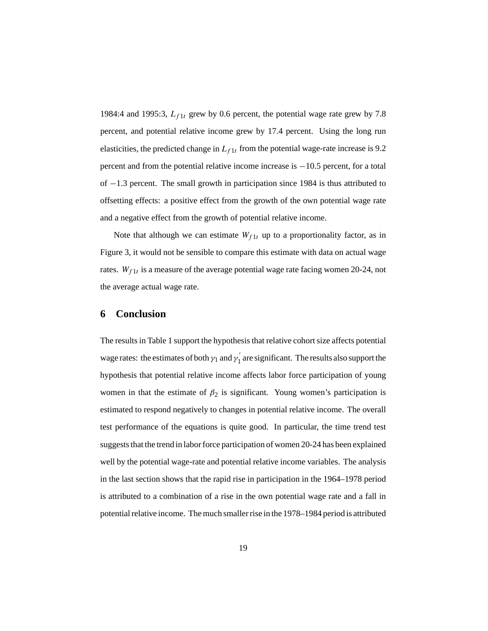1984:4 and 1995:3,  $L_{f1t}$  grew by 0.6 percent, the potential wage rate grew by 7.8 percent, and potential relative income grew by 17.4 percent. Using the long run elasticities, the predicted change in  $L_{f1t}$  from the potential wage-rate increase is 9.2 percent and from the potential relative income increase is −10.5 percent, for a total of −1.3 percent. The small growth in participation since 1984 is thus attributed to offsetting effects: a positive effect from the growth of the own potential wage rate and a negative effect from the growth of potential relative income.

Note that although we can estimate  $W_{f1t}$  up to a proportionality factor, as in Figure 3, it would not be sensible to compare this estimate with data on actual wage rates.  $W_{f1t}$  is a measure of the average potential wage rate facing women 20-24, not the average actual wage rate.

#### **6 Conclusion**

The results in Table 1 support the hypothesis that relative cohort size affects potential wage rates: the estimates of both  $\gamma_1$  and  $\gamma_1'$  are significant. The results also support the hypothesis that potential relative income affects labor force participation of young women in that the estimate of  $\beta_2$  is significant. Young women's participation is estimated to respond negatively to changes in potential relative income. The overall test performance of the equations is quite good. In particular, the time trend test suggests that the trend in labor force participation of women 20-24 has been explained well by the potential wage-rate and potential relative income variables. The analysis in the last section shows that the rapid rise in participation in the 1964–1978 period is attributed to a combination of a rise in the own potential wage rate and a fall in potential relative income. The much smaller rise in the 1978–1984 period is attributed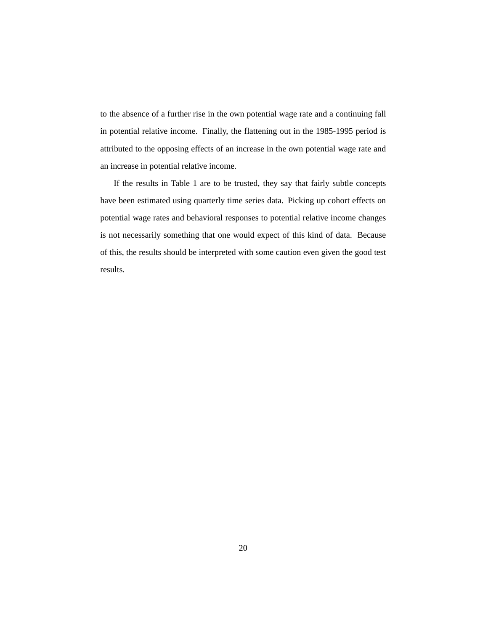to the absence of a further rise in the own potential wage rate and a continuing fall in potential relative income. Finally, the flattening out in the 1985-1995 period is attributed to the opposing effects of an increase in the own potential wage rate and an increase in potential relative income.

If the results in Table 1 are to be trusted, they say that fairly subtle concepts have been estimated using quarterly time series data. Picking up cohort effects on potential wage rates and behavioral responses to potential relative income changes is not necessarily something that one would expect of this kind of data. Because of this, the results should be interpreted with some caution even given the good test results.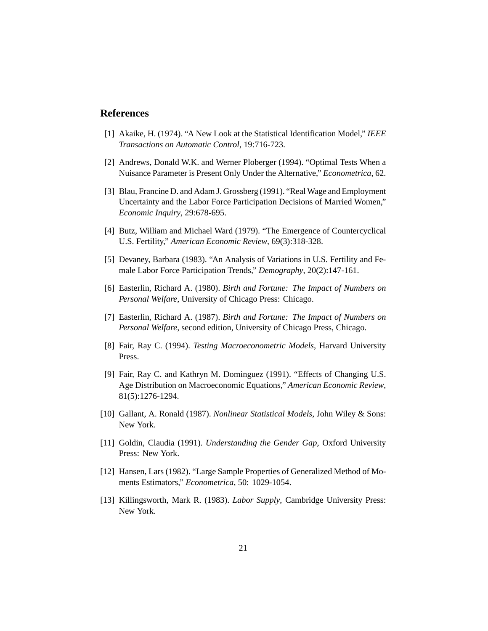#### **References**

- [1] Akaike, H. (1974). "A New Look at the Statistical Identification Model," *IEEE Transactions on Automatic Control*, 19:716-723.
- [2] Andrews, Donald W.K. and Werner Ploberger (1994). "Optimal Tests When a Nuisance Parameter is Present Only Under the Alternative," *Econometrica*, 62.
- [3] Blau, Francine D. and Adam J. Grossberg (1991). "Real Wage and Employment Uncertainty and the Labor Force Participation Decisions of Married Women," *Economic Inquiry*, 29:678-695.
- [4] Butz, William and Michael Ward (1979). "The Emergence of Countercyclical U.S. Fertility," *American Economic Review*, 69(3):318-328.
- [5] Devaney, Barbara (1983). "An Analysis of Variations in U.S. Fertility and Female Labor Force Participation Trends," *Demography*, 20(2):147-161.
- [6] Easterlin, Richard A. (1980). *Birth and Fortune: The Impact of Numbers on Personal Welfare*, University of Chicago Press: Chicago.
- [7] Easterlin, Richard A. (1987). *Birth and Fortune: The Impact of Numbers on Personal Welfare*, second edition, University of Chicago Press, Chicago.
- [8] Fair, Ray C. (1994). *Testing Macroeconometric Models*, Harvard University Press.
- [9] Fair, Ray C. and Kathryn M. Dominguez (1991). "Effects of Changing U.S. Age Distribution on Macroeconomic Equations," *American Economic Review*, 81(5):1276-1294.
- [10] Gallant, A. Ronald (1987). *Nonlinear Statistical Models*, John Wiley & Sons: New York.
- [11] Goldin, Claudia (1991). *Understanding the Gender Gap*, Oxford University Press: New York.
- [12] Hansen, Lars (1982). "Large Sample Properties of Generalized Method of Moments Estimators," *Econometrica*, 50: 1029-1054.
- [13] Killingsworth, Mark R. (1983). *Labor Supply*, Cambridge University Press: New York.